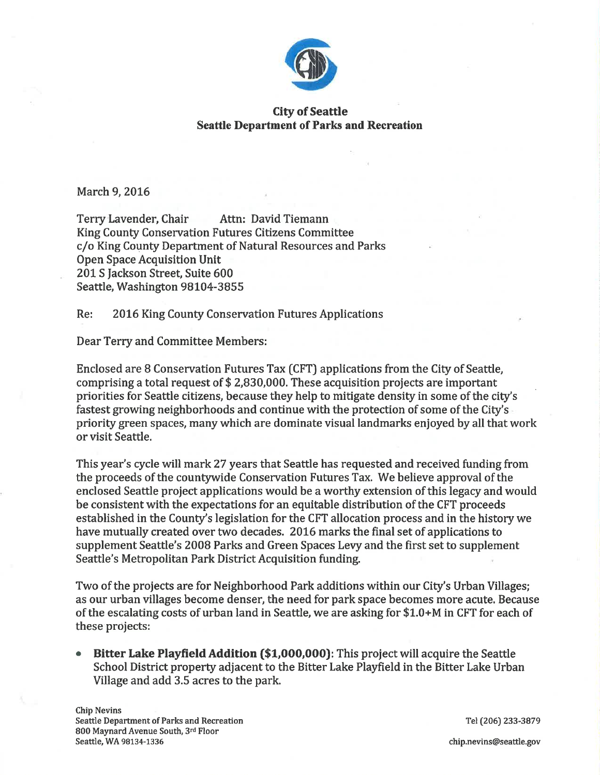

## City of Seattle **Seattle Department of Parks and Recreation**

March 9, 2016

Terry Lavender, Chair Attn: David Tiemann King County Conservation Futures Citizens Committee c/o King County Department of Natural Resources and Parks Open Space Acquisition Unit 201 S fackson Street, Suite 600 Seattle, Washington 98104-3855

Re: 2016 King County Conservation Futures Applications

Dear Terry and Committee Members:

Enclosed are 8 Conservation Futures Tax [CFT) applications from the City of Seattle, comprising a total request of \$ 2,830,000. These acquisition projects are important priorities for Seattle citizens, because they help to mitigate density in some of the city's fastest growing neighborhoods and continue with the protection of some of the City's priority green spaces, many which are dominate visual landmarks enjoyed by all that work or visit Seattle.

This year's cycle will mark 27 years that Seattle has requested and received funding from the proceeds of the countywide Conservation Futures Tax. We believe approval of the enclosed Seattle project applications would be a worthy extension of this legacy and would be consistent with the expectations for an equitable distribution of the CFT proceeds established in the County's legislation for the CFT allocation process and in the history we have mutually created over two decades. 2016 marks the final set of applications to supplement Seattle's 2008 Parks and Green Spaces Levy and the first set to supplement Seattle's Metropolitan Park District Acquisition funding.

Two of the projects are for Neighborhood Park additions within our City's Urban Villages; as our urban villages become denser, the need for park space becomes more acute. Because of the escalating costs of urban land in Seattle, we are asking for \$1.0+M in CFT for each of these projects:

Bitter Lake Playfield Addition (\$1,000,000): This project will acquire the Seattle School District property adjacent to the Bitter Lake Playfield in the Bitter Lake Urban Village and add 3.5 acres to the park. a

Tel (206) 233-3879

chip.nevins@seattle.gov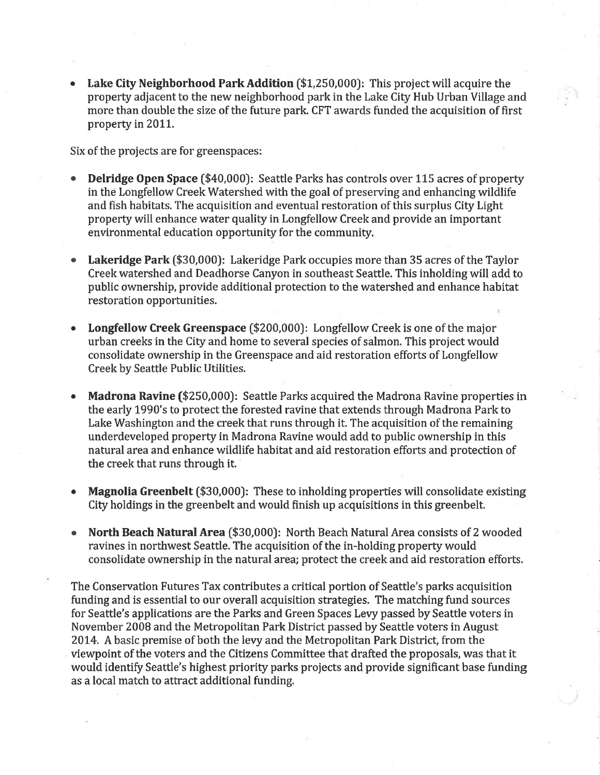Lake City Neighborhood Park Addition (\$1,250,000): This project will acquire the property adjacent to the new neighborhood park in the Lake City Hub Urban Village and more than double the size of the future park. CFT awards funded the acquisition of first property in 2011.

Six of the projects are for greenspaces:

- **Delridge Open Space (\$40,000): Seattle Parks has controls over 115 acres of property** in the Longfellow Creek Watershed with the goal of preserving and enhancing wildlife and fish habitats. The acquisition and eventual restoration of this surplus City Light property will enhance water quality in Longfellow Creek and provide an important environmental education opportunity for the community. a
- Lakeridge Park (\$30,000): Lakeridge Park occupies more than 35 acres of the Taylor Creek watershed and Deadhorse Canyon in southeast Seattle. This inholding will add to public ownership, provide additional protection to the watershed and enhance habitat restoration opportunities.
- Longfellow Creek Greenspace (\$200,000): Longfellow Creek is one of the major urban creeks in the City and home to several species of salmon. This project would consolidate ownership in the Greenspace and aid restoration efforts of Longfellow Creek by Seattle Public Utilities. o
- Madrona Ravine (\$250,000): Seattle Parks acquired the Madrona Ravine properties in the early 1990's to protect the forested ravine that extends through Madrona Park to Lake Washington and the creek that runs through it. The acquisition of the remaining underdeveloped property in Madrona Ravine would add to public ownership in this natural area and enhance wildlife habitat and aid restoration efforts and protection of the creek that runs through it.
- a Magnolia Greenbelt (\$30,000): These to inholding properties will consolidate existing City holdings in the greenbelt and would finish up acquisitions in this greenbelt.
- a North Beach Natural Area (\$30,000): North Beach Natural Area consists of 2 wooded ravines in northwest Seattle. The acquisition of the in-holding property would consolidate ownership in the natural area; protect the creek and aid restoration efforts.

The Conservation Futures Tax contributes a critical portion of Seattle's parks acquisition funding and is essential to our oyerall acquisition strategies. The matching fund sources for Seattle's applications are the Parks and Green Spaces Levy passed by Seattle voters in November 2008 and the Metropolitan Park District passed by Seattle voters in August 2014. A basic premise of both the levy and the Metropolitan Park District, from the viewpoint of the voters and the Citizens Committee that drafted the proposals, was that it would identify Seattle's highest priority parks projects and provide significant base funding as a local match to attract additional funding.